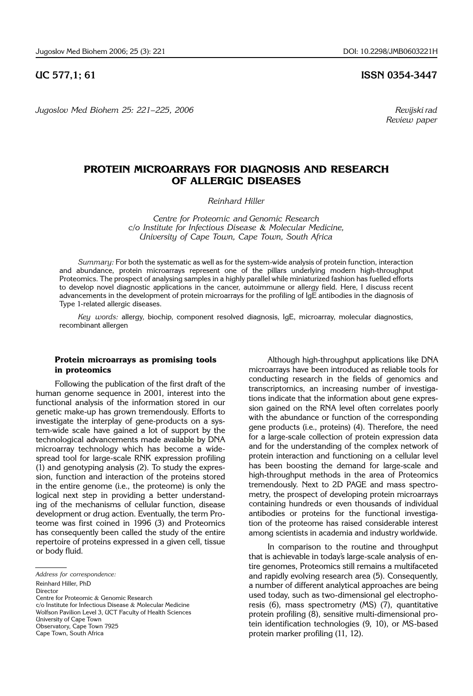*Jugoslov Med Biohem 25: 221*–*225, 2006 Revijski rad*

## **UC 577,1; 61 ISSN 0354-3447**

 *Review paper*

# **PROTEIN MICROARRAYS FOR DIAGNOSIS AND RESEARCH OF ALLERGIC DISEASES**

*Reinhard Hiller*

*Centre for Proteomic and Genomic Research c/o Institute for Infectious Disease* & *Molecular Medicine, University of Cape Town, Cape Town, South Africa*

*Summary:* For both the systematic as well as for the system-wide analysis of protein function, interaction and abundance, protein microarrays represent one of the pillars underlying modern high-throughput Proteomics. The prospect of analysing samples in a highly parallel while miniaturized fashion has fuelled efforts to develop novel diagnostic applications in the cancer, autoimmune or allergy field. Here, I discuss recent advancements in the development of protein microarrays for the profiling of IgE antibodies in the diagnosis of Type 1-related allergic diseases.

*Key words:* allergy, biochip, component resolved diagnosis, IgE, microarray, molecular diagnostics, recombinant allergen

## **Protein microarrays as promising tools in proteomics**

Following the publication of the first draft of the human genome sequence in 2001, interest into the functional analysis of the information stored in our genetic make-up has grown tremendously. Efforts to investigate the interplay of gene-products on a system-wide scale have gained a lot of support by the technological advancements made available by DNA microarray technology which has become a widespread tool for large-scale RNK expression profiling (1) and genotyping analysis (2). To study the expression, function and interaction of the proteins stored in the entire genome (i.e., the proteome) is only the logical next step in providing a better understanding of the mechanisms of cellular function, disease development or drug action. Eventually, the term Proteome was first coined in 1996 (3) and Proteomics has consequently been called the study of the entire repertoire of proteins expressed in a given cell, tissue or body fluid.

Reinhard Hiller, PhD

Director

Centre for Proteomic & Genomic Research

c/o Institute for Infectious Disease & Molecular Medicine

Wolfson Pavilion Level 3, UCT Faculty of Health Sciences

University of Cape Town

Observatory, Cape Town 7925

Cape Town, South Africa

Although high-throughput applications like DNA microarrays have been introduced as reliable tools for conducting research in the fields of genomics and transcriptomics, an increasing number of investigations indicate that the information about gene expression gained on the RNA level often correlates poorly with the abundance or function of the corresponding gene products (i.e., proteins) (4). Therefore, the need for a large-scale collection of protein expression data and for the understanding of the complex network of protein interaction and functioning on a cellular level has been boosting the demand for large-scale and high-throughput methods in the area of Proteomics tremendously. Next to 2D PAGE and mass spectrometry, the prospect of developing protein microarrays containing hundreds or even thousands of individual antibodies or proteins for the functional investigation of the proteome has raised considerable interest among scientists in academia and industry worldwide.

In comparison to the routine and throughput that is achievable in today's large-scale analysis of entire genomes, Proteomics still remains a multifaceted and rapidly evolving research area (5). Consequently, a number of different analytical approaches are being used today, such as two-dimensional gel electrophoresis (6), mass spectrometry (MS) (7), quantitative protein profiling (8), sensitive multi-dimensional protein identification technologies (9, 10), or MS-based protein marker profiling (11, 12).

*Address for correspondence:*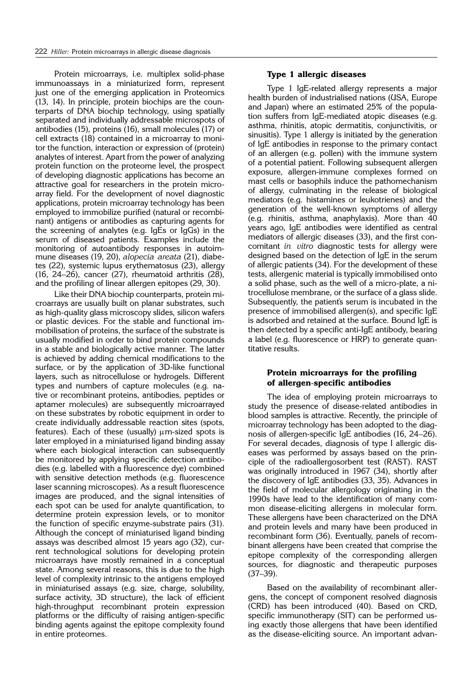Protein microarrays, i.e. multiplex solid-phase immunoassays in a miniaturized form, represent just one of the emerging application in Proteomics (13, 14). In principle, protein biochips are the counterparts of DNA biochip technology, using spatially separated and individually addressable microspots of antibodies (15), proteins (16), small molecules (17) or cell extracts (18) contained in a microarray to monitor the function, interaction or expression of (protein) analytes of interest. Apart from the power of analyzing protein function on the proteome level, the prospect of developing diagnostic applications has become an attractive goal for researchers in the protein microarray field. For the development of novel diagnostic applications, protein microarray technology has been employed to immobilize purified (natural or recombinant) antigens or antibodies as capturing agents for the screening of analytes (e.g. IgEs or IgGs) in the serum of diseased patients. Examples include the monitoring of autoantibody responses in autoimmune diseases (19, 20), *alopecia areata* (21), diabetes (22), systemic lupus erythematosus (23), allergy (16, 24 $-26$ ), cancer (27), rheumatoid arthritis (28), and the profiling of linear allergen epitopes (29, 30).

Like their DNA biochip counterparts, protein microarrays are usually built on planar substrates, such as high-quality glass microscopy slides, silicon wafers or plastic devices. For the stable and functional immobilisation of proteins, the surface of the substrate is usually modified in order to bind protein compounds in a stable and biologically active manner. The latter is achieved by adding chemical modifications to the surface, or by the application of 3D-like functional layers, such as nitrocellulose or hydrogels. Different types and numbers of capture molecules (e.g. native or recombinant proteins, antibodies, peptides or aptamer molecules) are subsequently microarrayed on these substrates by robotic equipment in order to create individually addressable reaction sites (spots, features). Each of these (usually)  $\mu$ m-sized spots is later employed in a miniaturised ligand binding assay where each biological interaction can subsequently be monitored by applying specific detection antibodies (e.g. labelled with a fluorescence dye) combined with sensitive detection methods (e.g. fluorescence laser scanning microscopes). As a result fluorescence images are produced, and the signal intensities of each spot can be used for analyte quantification, to determine protein expression levels, or to monitor the function of specific enzyme-substrate pairs (31). Although the concept of miniaturised ligand binding assays was described almost 15 years ago (32), current technological solutions for developing protein microarrays have mostly remained in a conceptual state. Among several reasons, this is due to the high level of complexity intrinsic to the antigens employed in miniaturised assays (e.g. size, charge, solubility, surface activity, 3D structure), the lack of efficient high-throughput recombinant protein expression platforms or the difficulty of raising antigen-specific binding agents against the epitope complexity found in entire proteomes.

### **Type 1 allergic diseases**

Type 1 IgE-related allergy represents a major health burden of industrialised nations (USA, Europe and Japan) where an estimated 25% of the population suffers from IgE-mediated atopic diseases (e.g. asthma, rhinitis, atopic dermatitis, conjunctivitis, or sinusitis). Type 1 allergy is initiated by the generation of IgE antibodies in response to the primary contact of an allergen (e.g. pollen) with the immune system of a potential patient. Following subsequent allergen exposure, allergen-immune complexes formed on mast cells or basophils induce the pathomechanism of allergy, culminating in the release of biological mediators (e.g. histamines or leukotrienes) and the generation of the well-known symptoms of allergy  $(e.a.$  rhinitis, asthma, anaphylaxis). More than  $40$ years ago, IgE antibodies were identified as central mediators of allergic diseases (33), and the first concomitant *in vitro* diagnostic tests for allergy were designed based on the detection of IgE in the serum of allergic patients (34). For the development of these tests, allergenic material is typically immobilised onto a solid phase, such as the well of a micro-plate, a nitrocellulose membrane, or the surface of a glass slide. Subsequently, the patient's serum is incubated in the presence of immobilised allergen(s), and specific IgE is adsorbed and retained at the surface. Bound IgE is then detected by a specific anti-IgE antibody, bearing a label (e.g. fluorescence or HRP) to generate quantitative results.

### **Protein microarrays for the profiling of allergen**-**specific antibodies**

The idea of employing protein microarrays to study the presence of disease-related antibodies in blood samples is attractive. Recently, the principle of microarray technology has been adopted to the diagnosis of allergen-specific IgE antibodies  $(16, 24-26)$ . For several decades, diagnosis of type I allergic diseases was performed by assays based on the principle of the radioallergosorbent test (RAST). RAST was originally introduced in 1967 (34), shortly after the discovery of IgE antibodies (33, 35). Advances in the field of molecular allergology originating in the 1990s have lead to the identification of many common disease-eliciting allergens in molecular form. These allergens have been characterized on the DNA and protein levels and many have been produced in recombinant form (36). Eventually, panels of recombinant allergens have been created that comprise the epitope complexity of the corresponding allergen sources, for diagnostic and therapeutic purposes  $(37-39)$ .

Based on the availability of recombinant allergens, the concept of component resolved diagnosis (CRD) has been introduced (40). Based on CRD, specific immunotherapy (SIT) can be performed using exactly those allergens that have been identified as the disease-eliciting source. An important advan-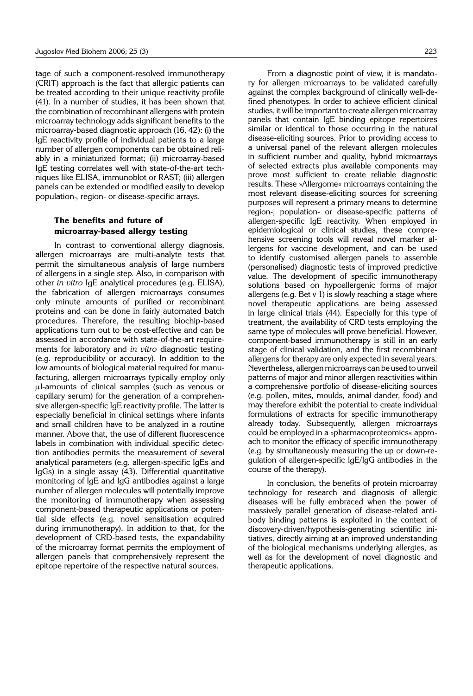tage of such a component-resolved immunotherapy (CRIT) approach is the fact that allergic patients can be treated according to their unique reactivity profile (41). In a number of studies, it has been shown that the combination of recombinant allergens with protein microarray technology adds significant benefits to the microarray-based diagnostic approach (16, 42): (i) the IgE reactivity profile of individual patients to a large number of allergen components can be obtained reliably in a miniaturized format; (ii) microarray-based IgE testing correlates well with state-of-the-art techniques like ELISA, immunoblot or RAST; (iii) allergen panels can be extended or modified easily to develop population-, region- or disease-specific arrays.

## **The benefits and future of microarray-based allergy testing**

In contrast to conventional allergy diagnosis, allergen microarrays are multi-analyte tests that permit the simultaneous analysis of large numbers of allergens in a single step. Also, in comparison with other *in vitro* IgE analytical procedures (e.g. ELISA), the fabrication of allergen microarrays consumes only minute amounts of purified or recombinant proteins and can be done in fairly automated batch procedures. Therefore, the resulting biochip-based applications turn out to be cost-effective and can be assessed in accordance with state-of-the-art requirements for laboratory and *in vitro* diagnostic testing (e.g. reproducibility or accuracy). In addition to the low amounts of biological material required for manufacturing, allergen microarrays typically employ only ml-amounts of clinical samples (such as venous or capillary serum) for the generation of a comprehensive allergen-specific IgE reactivity profile. The latter is especially beneficial in clinical settings where infants and small children have to be analyzed in a routine manner. Above that, the use of different fluorescence labels in combination with individual specific detection antibodies permits the measurement of several analytical parameters (e.g. allergen-specific IgEs and IgGs) in a single assay (43). Differential quantitative monitoring of IgE and IgG antibodies against a large number of allergen molecules will potentially improve the monitoring of immunotherapy when assessing component-based therapeutic applications or potential side effects (e.g. novel sensitisation acquired during immunotherapy). In addition to that, for the development of CRD-based tests, the expandability of the microarray format permits the employment of allergen panels that comprehensively represent the epitope repertoire of the respective natural sources.

From a diagnostic point of view, it is mandatory for allergen microarrays to be validated carefully against the complex background of clinically well-defined phenotypes. In order to achieve efficient clinical studies, it will be important to create allergen microarray panels that contain IgE binding epitope repertoires similar or identical to those occurring in the natural disease-eliciting sources. Prior to providing access to a universal panel of the relevant allergen molecules in sufficient number and quality, hybrid microarrays of selected extracts plus available components may prove most sufficient to create reliable diagnostic results. These »Allergome« microarrays containing the most relevant disease-eliciting sources for screening purposes will represent a primary means to determine region-, population- or disease-specific patterns of allergen-specific IgE reactivity. When employed in epidemiological or clinical studies, these comprehensive screening tools will reveal novel marker allergens for vaccine development, and can be used to identify customised allergen panels to assemble (personalised) diagnostic tests of improved predictive value. The development of specific immunotherapy solutions based on hypoallergenic forms of major allergens (e.g. Bet v 1) is slowly reaching a stage where novel therapeutic applications are being assessed in large clinical trials (44). Especially for this type of treatment, the availability of CRD tests employing the same type of molecules will prove beneficial. However, com ponent-based immunotherapy is still in an early stage of clinical validation, and the first recombinant allergens for therapy are only expected in several years. Nevertheless, allergen microarrays can be used to unveil patterns of major and minor allergen reactivities within a comprehensive portfolio of disease-eliciting sources (e.g. pollen, mites, mo ulds, animal dander, food) and may therefore exhibit the potential to create individual formulations of extracts for specific immunotherapy already today. Subsequently, allergen microarrays could be employed in a »pharmacoproteomics« approach to monitor the efficacy of specific immunotherapy (e.g. by simultaneously measuring the up or down-regulation of allergen-specific IgE/IgG antibodies in the course of the therapy).

In conclusion, the benefits of protein microarray technology for research and diagnosis of allergic diseases will be fully embraced when the power of massively parallel generation of disease-related antibody binding patterns is exploited in the context of discovery-driven/hypothesis-generating scientific initiatives, directly aiming at an improved understanding of the biological mechanisms underlying allergies, as well as for the development of novel diagnostic and therapeutic applications.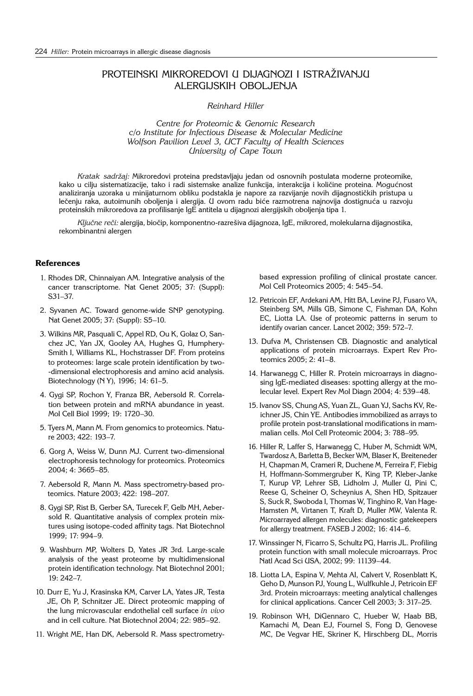# PROTEINSKI MIKROREDOVI U DIJAGNOZI I ISTRAŽIVANJU ALERGIJSKIH OBOLJENJA

*Reinhard Hiller*

*Centre for Proteomic* & *Genomic Research c/o Institute for Infectious Disease* & *Molecular Medicine Wolfson Pavilion Level 3, UCT Faculty of Health Sciences University of Cape Town*

*Kratak sadr`aj:* Mikroredovi proteina predstavljaju jedan od osnovnih postulata moderne proteomike, kako u cilju sistematizacije, tako i radi sistemske analize funkcija, interakcija i količine proteina. Mogućnost analiziranja uzoraka u minijaturnom obliku podstakla je napore za razvijanje novih dijagnostičkih pristupa u lečenju raka, autoimunih oboljenja i alergija. U ovom radu biće razmotrena najnovija dostignuća u razvoju proteinskih mikroredova za profilisanje IgE antitela u dijagnozi alergijskih oboljenja tipa 1.

Ključne reči: alergija, biočip, komponentno-razrešiva dijagnoza, IgE, mikrored, molekularna dijagnostika, rekombinantni alergen

#### **References**

- 1. Rhodes DR, Chinnaiyan AM. Integrative analysis of the cancer transcriptome. Nat Genet 2005; 37: (Suppl): S31-37.
- 2. Syvanen AC. Toward genome-wide SNP genotyping. Nat Genet 2005; 37: (Suppl): S5-10.
- 3. Wilkins MR, Pasquali C, Appel RD, Ou K, Golaz O, Sanchez JC, Yan JX, Gooley AA, Hughes G, Humphery-Smith I, Williams KL, Hochstrasser DF. From proteins to proteomes: large scale protein identification by two- -dimensional electrophoresis and amino acid analysis. Biotechnology (N Y), 1996; 14: 61-5.
- 4. Gygi SP, Rochon Y, Franza BR, Aebersold R. Correlation between protein and mRNA abundance in yeast. Mol Cell Biol 1999; 19: 1720-30.
- 5. Tyers M, Mann M. From genomics to proteomics. Nature 2003; 422: 193-7.
- 6. Gorg A, Weiss W, Dunn MJ. Current two-dimensional electrophoresis technology for proteomics. Proteomics 2004; 4: 3665-85.
- 7. Aebersold R, Mann M. Mass spectrometry-based proteomics. Nature 2003; 422: 198-207.
- 8. Gygi SP, Rist B, Gerber SA, Turecek F, Gelb MH, Aebersold R. Quantitative analysis of complex protein mixtures using isotope-coded affinity tags. Nat Biotechnol 1999; 17: 994-9.
- 9. Washburn MP, Wolters D, Yates JR 3rd. Large-scale analysis of the yeast proteome by multidimensional protein identification technology. Nat Biotechnol 2001; 19: 242-7.
- 10. Durr E, Yu J, Krasinska KM, Carver LA, Yates JR, Testa JE, Oh P, Schnitzer JE. Direct proteomic mapping of the lung microvascular endothelial cell surface *in vivo* and in cell culture. Nat Biotechnol 2004; 22: 985-92.
- 11. Wright ME, Han DK, Aebersold R. Mass spectrometry-

based expression profiling of clinical prostate cancer. Mol Cell Proteomics 2005; 4: 545-54.

- 12. Petricoin EF, Ardekani AM, Hitt BA, Levine PJ, Fusaro VA, Steinberg SM, Mills GB, Simone C, Fishman DA, Kohn EC, Liotta LA. Use of proteomic patterns in serum to identify ovarian cancer. Lancet 2002; 359: 572-7.
- 13. Dufva M, Christensen CB. Diagnostic and analytical applications of protein microarrays. Expert Rev Proteomics 2005; 2: 41-8.
- 14. Harwanegg C, Hiller R. Protein microarrays in diagnosing IgE-mediated diseases: spotting allergy at the molecular level. Expert Rev Mol Diagn 2004; 4: 539-48.
- 15. Ivanov SS, Chung AS, Yuan ZL, Guan YJ, Sachs KV, Reichner JS, Chin YE. Antibodies immobilized as arrays to profile protein post-translational modifications in mammalian cells. Mol Cell Proteomic 2004; 3: 788-95.
- 16. Hiller R, Laffer S, Harwanegg C, Huber M, Schmidt WM, Twardosz A, Barletta B, Becker WM, Blaser K, Breiteneder H, Chapman M, Crameri R, Duchene M, Ferreira F, Fiebig H, Hoffmann-Sommergruber K, King TP, Kleber-Janke T, Kurup VP, Lehrer SB, Lidholm J, Muller U, Pini C, Reese G, Scheiner O, Scheynius A, Shen HD, Spitzauer S, Suck R, Swoboda I, Thomas W, Tinghino R, Van Hage-Hamsten M, Virtanen T, Kraft D, Muller MW, Valenta R. Microarrayed allergen molecules: diagnostic gatekeepers for allergy treatment. FASEB  $J$  2002; 16: 414-6.
- 17. Winssinger N, Ficarro S, Schultz PG, Harris JL. Profiling protein function with small molecule microarrays. Proc Natl Acad Sci USA, 2002; 99: 11139-44.
- 18. Liotta LA, Espina V, Mehta AI, Calvert V, Rosenblatt K, Geho D, Munson PJ, Young L, Wulfkuhle J, Petricoin EF 3rd. Protein microarrays: meeting analytical challenges for clinical applications. Cancer Cell 2003; 3: 317-25.
- 19. Robinson WH, DiGennaro C, Hueber W, Haab BB, Kamachi M, Dean EJ, Fournel S, Fong D, Genovese MC, De Vegvar HE, Skriner K, Hirschberg DL, Morris